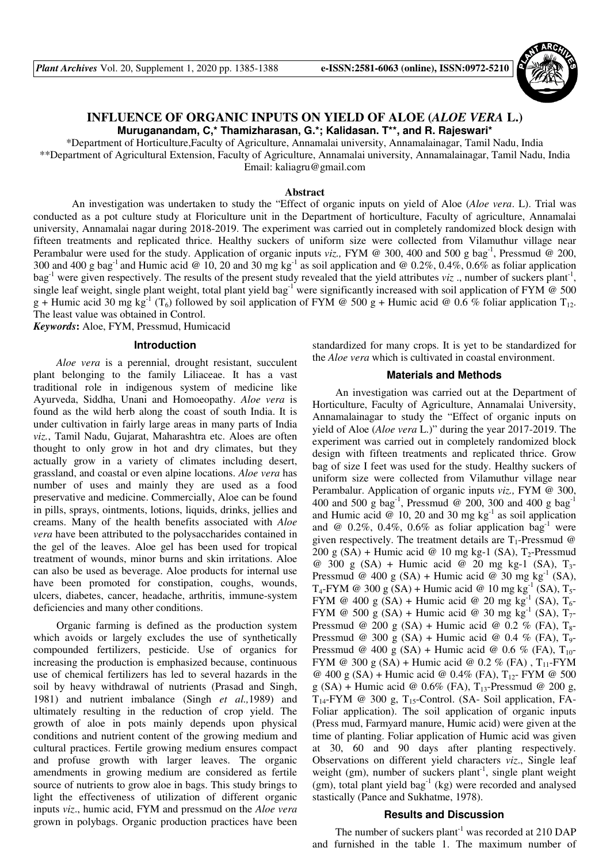

# **INFLUENCE OF ORGANIC INPUTS ON YIELD OF ALOE (***ALOE VERA* **L.) Muruganandam, C,\* Thamizharasan, G.\*; Kalidasan. T\*\*, and R. Rajeswari\***

\*Department of Horticulture,Faculty of Agriculture, Annamalai university, Annamalainagar, Tamil Nadu, India

\*\*Department of Agricultural Extension, Faculty of Agriculture, Annamalai university, Annamalainagar, Tamil Nadu, India Email: kaliagru@gmail.com

#### **Abstract**

An investigation was undertaken to study the "Effect of organic inputs on yield of Aloe (*Aloe vera*. L). Trial was conducted as a pot culture study at Floriculture unit in the Department of horticulture, Faculty of agriculture, Annamalai university, Annamalai nagar during 2018-2019. The experiment was carried out in completely randomized block design with fifteen treatments and replicated thrice. Healthy suckers of uniform size were collected from Vilamuthur village near Perambalur were used for the study. Application of organic inputs *viz.*, FYM @ 300, 400 and 500 g bag<sup>-1</sup>, Pressmud @ 200, 300 and 400 g bag<sup>-1</sup> and Humic acid @ 10, 20 and 30 mg kg<sup>-1</sup> as soil application and @ 0.2%, 0.4%, 0.6% as foliar application bag<sup>-1</sup> were given respectively. The results of the present study revealed that the yield attributes *viz*, number of suckers plant<sup>-1</sup>, single leaf weight, single plant weight, total plant yield bag<sup>-1</sup> were significantly increased with soil application of FYM  $\omega$  500 g + Humic acid 30 mg kg<sup>-1</sup> (T<sub>6</sub>) followed by soil application of FYM @ 500 g + Humic acid @ 0.6 % foliar application T<sub>12</sub>. The least value was obtained in Control.

*Keywords***:** Aloe, FYM, Pressmud, Humicacid

## **Introduction**

*Aloe vera* is a perennial, drought resistant, succulent plant belonging to the family Liliaceae. It has a vast traditional role in indigenous system of medicine like Ayurveda, Siddha, Unani and Homoeopathy. *Aloe vera* is found as the wild herb along the coast of south India. It is under cultivation in fairly large areas in many parts of India *viz.*, Tamil Nadu, Gujarat, Maharashtra etc. Aloes are often thought to only grow in hot and dry climates, but they actually grow in a variety of climates including desert, grassland, and coastal or even alpine locations. *Aloe vera* has number of uses and mainly they are used as a food preservative and medicine. Commercially, Aloe can be found in pills, sprays, ointments, lotions, liquids, drinks, jellies and creams. Many of the health benefits associated with *Aloe vera* have been attributed to the polysaccharides contained in the gel of the leaves. Aloe gel has been used for tropical treatment of wounds, minor burns and skin irritations. Aloe can also be used as beverage. Aloe products for internal use have been promoted for constipation, coughs, wounds, ulcers, diabetes, cancer, headache, arthritis, immune-system deficiencies and many other conditions.

Organic farming is defined as the production system which avoids or largely excludes the use of synthetically compounded fertilizers, pesticide. Use of organics for increasing the production is emphasized because, continuous use of chemical fertilizers has led to several hazards in the soil by heavy withdrawal of nutrients (Prasad and Singh, 1981) and nutrient imbalance (Singh *et al.,*1989) and ultimately resulting in the reduction of crop yield. The growth of aloe in pots mainly depends upon physical conditions and nutrient content of the growing medium and cultural practices. Fertile growing medium ensures compact and profuse growth with larger leaves. The organic amendments in growing medium are considered as fertile source of nutrients to grow aloe in bags. This study brings to light the effectiveness of utilization of different organic inputs *viz*., humic acid, FYM and pressmud on the *Aloe vera* grown in polybags. Organic production practices have been standardized for many crops. It is yet to be standardized for the *Aloe vera* which is cultivated in coastal environment.

### **Materials and Methods**

An investigation was carried out at the Department of Horticulture, Faculty of Agriculture, Annamalai University, Annamalainagar to study the "Effect of organic inputs on yield of Aloe (*Aloe vera* L.)" during the year 2017-2019. The experiment was carried out in completely randomized block design with fifteen treatments and replicated thrice. Grow bag of size I feet was used for the study. Healthy suckers of uniform size were collected from Vilamuthur village near Perambalur. Application of organic inputs *viz.,* FYM @ 300, 400 and 500 g bag<sup>-1</sup>, Pressmud @ 200, 300 and 400 g bag<sup>-1</sup> and Humic acid  $\omega$  10, 20 and 30 mg kg<sup>-1</sup> as soil application and @  $0.2\%$ ,  $0.4\%$ ,  $0.6\%$  as foliar application bag<sup>-1</sup> were given respectively. The treatment details are  $T_1$ -Pressmud @ 200 g (SA) + Humic acid @ 10 mg kg-1 (SA),  $T_2$ -Pressmud @ 300 g (SA) + Humic acid @ 20 mg kg-1 (SA), T3- Pressmud @ 400 g (SA) + Humic acid @ 30 mg kg<sup>-1</sup> (SA),  $T_4$ -FYM @ 300 g (SA) + Humic acid @ 10 mg kg<sup>-1</sup> (SA),  $T_5$ -FYM @ 400 g (SA) + Humic acid @ 20 mg kg<sup>-1</sup> (SA), T<sub>6</sub>-FYM @ 500 g (SA) + Humic acid @ 30 mg kg<sup>-1</sup> (SA),  $T_7$ -Pressmud @ 200 g (SA) + Humic acid @ 0.2 % (FA),  $T_{8}$ -Pressmud @ 300 g (SA) + Humic acid @ 0.4 % (FA),  $T_9$ -Pressmud @ 400 g (SA) + Humic acid @ 0.6 % (FA),  $T_{10}$ -FYM @ 300 g (SA) + Humic acid @ 0.2 % (FA),  $T_{11}$ -FYM @ 400 g (SA) + Humic acid @ 0.4% (FA),  $T_{12}$ - FYM @ 500 g (SA) + Humic acid @ 0.6% (FA),  $T_{13}$ -Pressmud @ 200 g,  $T_{14}$ -FYM @ 300 g,  $T_{15}$ -Control. (SA- Soil application, FA-Foliar application). The soil application of organic inputs (Press mud, Farmyard manure, Humic acid) were given at the time of planting. Foliar application of Humic acid was given at 30, 60 and 90 days after planting respectively. Observations on different yield characters *viz*., Single leaf weight (gm), number of suckers plant<sup>-1</sup>, single plant weight (gm), total plant yield bag<sup>-1</sup> (kg) were recorded and analysed stastically (Pance and Sukhatme, 1978).

#### **Results and Discussion**

The number of suckers plant<sup>-1</sup> was recorded at  $210$  DAP and furnished in the table 1. The maximum number of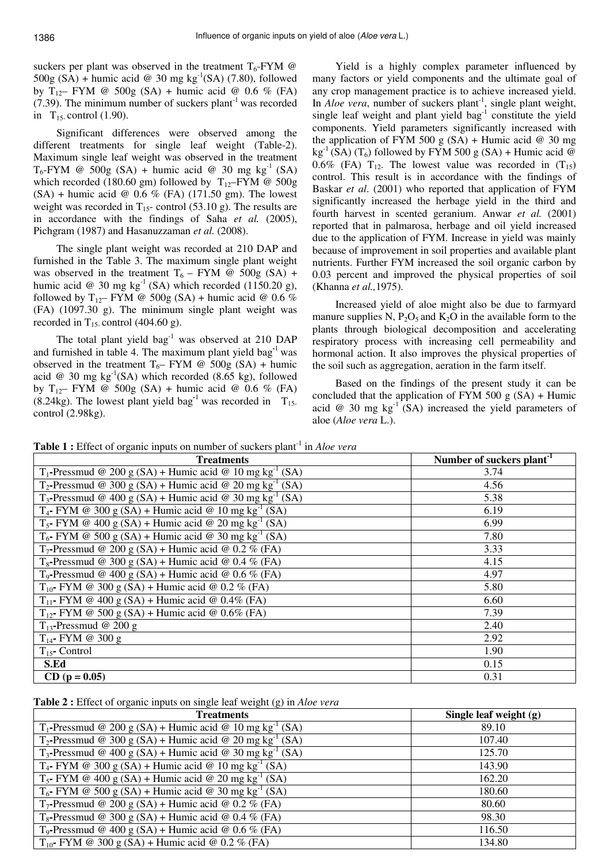suckers per plant was observed in the treatment  $T_6$ -FYM @ 500g (SA) + humic acid @ 30 mg kg<sup>-1</sup>(SA) (7.80), followed by  $T_{12}$ – FYM @ 500g (SA) + humic acid @ 0.6 % (FA)  $(7.39)$ . The minimum number of suckers plant<sup>-1</sup> was recorded in  $T_{15}$ - control (1.90).

Significant differences were observed among the different treatments for single leaf weight (Table-2). Maximum single leaf weight was observed in the treatment  $T_6$ -FYM @ 500g (SA) + humic acid @ 30 mg kg<sup>-1</sup> (SA) which recorded (180.60 gm) followed by  $T_{12}$ –FYM @ 500g  $(SA)$  + humic acid @ 0.6 % (FA) (171.50 gm). The lowest weight was recorded in  $T_{15}$ - control (53.10 g). The results are in accordance with the findings of Saha *et al.* (2005), Pichgram (1987) and Hasanuzzaman *et al.* (2008).

The single plant weight was recorded at 210 DAP and furnished in the Table 3. The maximum single plant weight was observed in the treatment  $T_6$  – FYM @ 500g (SA) + humic acid @ 30 mg kg<sup>-1</sup> (SA) which recorded (1150.20 g), followed by T<sub>12</sub>– FYM @ 500g (SA) + humic acid @ 0.6 % (FA) (1097.30 g). The minimum single plant weight was recorded in T<sub>15</sub>-control (404.60 g).

The total plant yield  $bag<sup>-1</sup>$  was observed at 210 DAP and furnished in table 4. The maximum plant yield bag**-**<sup>1</sup> was observed in the treatment  $T_6$ – FYM @ 500g (SA) + humic acid @ 30 mg  $kg^{-1}(SA)$  which recorded (8.65 kg), followed by  $T_{12}$ – FYM @ 500g (SA) + humic acid @ 0.6 % (FA)  $(8.24 \text{kg})$ . The lowest plant yield bag<sup>-1</sup> was recorded in T<sub>15-</sub> control (2.98kg).

Yield is a highly complex parameter influenced by many factors or yield components and the ultimate goal of any crop management practice is to achieve increased yield. In *Aloe vera*, number of suckers plant<sup>-1</sup>, single plant weight, single leaf weight and plant yield  $bag<sup>-1</sup>$  constitute the yield components. Yield parameters significantly increased with the application of FYM 500 g  $(SA)$  + Humic acid @ 30 mg  $kg^{-1}$  (SA) (T<sub>6</sub>) followed by FYM 500 g (SA) + Humic acid @ 0.6% (FA)  $T_{12}$ . The lowest value was recorded in  $(T_{15})$ control. This result is in accordance with the findings of Baskar *et al*. (2001) who reported that application of FYM significantly increased the herbage yield in the third and fourth harvest in scented geranium. Anwar *et al.* (2001) reported that in palmarosa, herbage and oil yield increased due to the application of FYM. Increase in yield was mainly because of improvement in soil properties and available plant nutrients. Further FYM increased the soil organic carbon by 0.03 percent and improved the physical properties of soil (Khanna *et al.,*1975).

Increased yield of aloe might also be due to farmyard manure supplies N,  $P_2O_5$  and  $K_2O$  in the available form to the plants through biological decomposition and accelerating respiratory process with increasing cell permeability and hormonal action. It also improves the physical properties of the soil such as aggregation, aeration in the farm itself.

Based on the findings of the present study it can be concluded that the application of FYM 500  $g$  (SA) + Humic acid  $@$  30 mg  $kg^{-1}$  (SA) increased the yield parameters of aloe (*Aloe vera* L.).

**Table 1** : Effect of organic inputs on number of suckers plant<sup>-1</sup> in *Aloe vera* 

| <b>Treatments</b>                                                                | Number of suckers plant <sup>-1</sup> |
|----------------------------------------------------------------------------------|---------------------------------------|
| T <sub>1</sub> -Pressmud @ 200 g (SA) + Humic acid @ 10 mg kg <sup>-1</sup> (SA) | 3.74                                  |
| $T_2$ -Pressmud @ 300 g (SA) + Humic acid @ 20 mg kg <sup>-1</sup> (SA)          | 4.56                                  |
| $T_3$ -Pressmud @ 400 g (SA) + Humic acid @ 30 mg kg <sup>-1</sup> (SA)          | 5.38                                  |
| $T_4$ - FYM @ 300 g (SA) + Humic acid @ 10 mg kg <sup>-1</sup> (SA)              | 6.19                                  |
| $T_5$ - FYM @ 400 g (SA) + Humic acid @ 20 mg kg <sup>-1</sup> (SA)              | 6.99                                  |
| $T_6$ - FYM @ 500 g (SA) + Humic acid @ 30 mg kg <sup>-1</sup> (SA)              | 7.80                                  |
| $T_7$ -Pressmud @ 200 g (SA) + Humic acid @ 0.2 % (FA)                           | 3.33                                  |
| $T_8$ -Pressmud @ 300 g (SA) + Humic acid @ 0.4 % (FA)                           | 4.15                                  |
| $T_9$ -Pressmud @ 400 g (SA) + Humic acid @ 0.6 % (FA)                           | 4.97                                  |
| $T_{10}$ - FYM @ 300 g (SA) + Humic acid @ 0.2 % (FA)                            | 5.80                                  |
| $T_{11}$ - FYM @ 400 g (SA) + Humic acid @ 0.4% (FA)                             | 6.60                                  |
| $T_{12}$ - FYM @ 500 g (SA) + Humic acid @ 0.6% (FA)                             | 7.39                                  |
| $T_{13}$ -Pressmud @ 200 g                                                       | 2.40                                  |
| $T_{14}$ - FYM @ 300 g                                                           | 2.92                                  |
| $T_{15}$ - Control                                                               | 1.90                                  |
| S.Ed                                                                             | 0.15                                  |
| $CD (p = 0.05)$                                                                  | 0.31                                  |

**Table 2 :** Effect of organic inputs on single leaf weight (g) in *Aloe vera*

| <b>Treatments</b>                                                       | Single leaf weight (g) |
|-------------------------------------------------------------------------|------------------------|
| $T_1$ -Pressmud @ 200 g (SA) + Humic acid @ 10 mg kg <sup>-1</sup> (SA) | 89.10                  |
| $T_2$ -Pressmud @ 300 g (SA) + Humic acid @ 20 mg kg <sup>-1</sup> (SA) | 107.40                 |
| $T_3$ -Pressmud @ 400 g (SA) + Humic acid @ 30 mg kg <sup>-1</sup> (SA) | 125.70                 |
| $T_4$ - FYM @ 300 g (SA) + Humic acid @ 10 mg kg <sup>-1</sup> (SA)     | 143.90                 |
| $T_5$ - FYM @ 400 g (SA) + Humic acid @ 20 mg kg <sup>-1</sup> (SA)     | 162.20                 |
| $T_6$ - FYM @ 500 g (SA) + Humic acid @ 30 mg kg <sup>-1</sup> (SA)     | 180.60                 |
| T <sub>7</sub> -Pressmud @ 200 g (SA) + Humic acid @ 0.2 % (FA)         | 80.60                  |
| $T_8$ -Pressmud @ 300 g (SA) + Humic acid @ 0.4 % (FA)                  | 98.30                  |
| T <sub>9</sub> -Pressmud @ 400 g (SA) + Humic acid @ 0.6 % (FA)         | 116.50                 |
| $T_{10}$ - FYM @ 300 g (SA) + Humic acid @ 0.2 % (FA)                   | 134.80                 |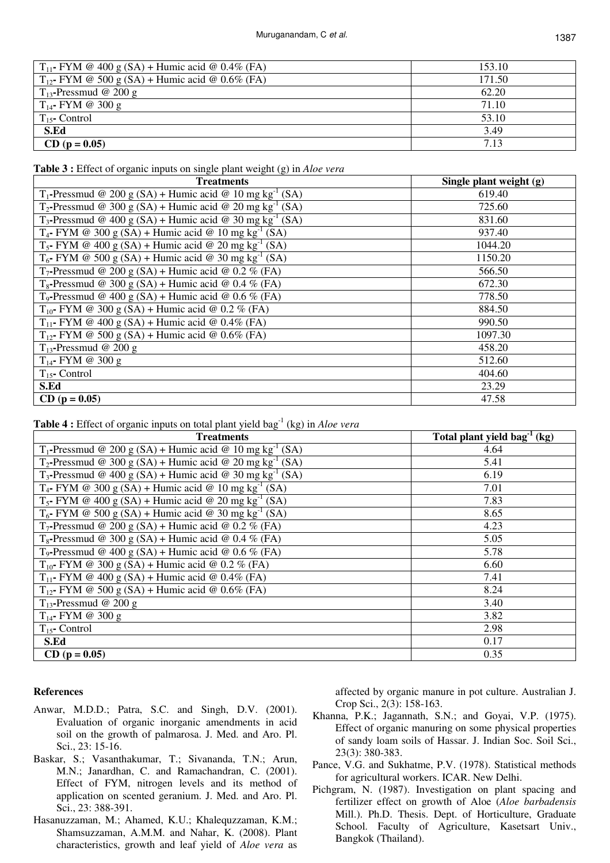| $T_{11}$ - FYM @ 400 g (SA) + Humic acid @ 0.4% (FA) | 153.10 |
|------------------------------------------------------|--------|
| $T_{12}$ - FYM @ 500 g (SA) + Humic acid @ 0.6% (FA) | 171.50 |
| $T_{13}$ -Pressmud @ 200 g                           | 62.20  |
| $T_{14}$ - FYM @ 300 g                               | 71.10  |
| $T_{15}$ - Control                                   | 53.10  |
| S.Ed                                                 | 3.49   |
| $CD (p = 0.05)$                                      | 7.13   |

**Table 3 :** Effect of organic inputs on single plant weight (g) in *Aloe vera*

| <b>Treatments</b>                                                                | Single plant weight $(g)$ |
|----------------------------------------------------------------------------------|---------------------------|
| $T_1$ -Pressmud @ 200 g (SA) + Humic acid @ 10 mg kg <sup>-1</sup> (SA)          | 619.40                    |
| $T_2$ -Pressmud @ 300 g (SA) + Humic acid @ 20 mg kg <sup>-1</sup> (SA)          | 725.60                    |
| T <sub>3</sub> -Pressmud @ 400 g (SA) + Humic acid @ 30 mg kg <sup>-1</sup> (SA) | 831.60                    |
| $T_4$ - FYM @ 300 g (SA) + Humic acid @ 10 mg kg <sup>-1</sup> (SA)              | 937.40                    |
| $T_5$ - FYM @ 400 g (SA) + Humic acid @ 20 mg kg <sup>-1</sup> (SA)              | 1044.20                   |
| $T_6$ - FYM @ 500 g (SA) + Humic acid @ 30 mg kg <sup>-1</sup> (SA)              | 1150.20                   |
| $T_7$ -Pressmud @ 200 g (SA) + Humic acid @ 0.2 % (FA)                           | 566.50                    |
| $T_8$ -Pressmud @ 300 g (SA) + Humic acid @ 0.4 % (FA)                           | 672.30                    |
| T <sub>9</sub> -Pressmud @ 400 g (SA) + Humic acid @ 0.6 % (FA)                  | 778.50                    |
| $T_{10}$ - FYM @ 300 g (SA) + Humic acid @ 0.2 % (FA)                            | 884.50                    |
| $T_{11}$ - FYM @ 400 g (SA) + Humic acid @ 0.4% (FA)                             | 990.50                    |
| $T_{12}$ - FYM @ 500 g (SA) + Humic acid @ 0.6% (FA)                             | 1097.30                   |
| $T_{13}$ -Pressmud @ 200 g                                                       | 458.20                    |
| $T_{14}$ - FYM @ 300 g                                                           | 512.60                    |
| $T_{15}$ - Control                                                               | 404.60                    |
| S.Ed                                                                             | 23.29                     |
| $CD (p = 0.05)$                                                                  | 47.58                     |

**Table 4 :** Effect of organic inputs on total plant yield bag<sup>-1</sup> (kg) in *Aloe vera* 

| <b>Treatments</b>                                                       | Total plant yield bag <sup>1</sup> (kg) |
|-------------------------------------------------------------------------|-----------------------------------------|
| $T_1$ -Pressmud @ 200 g (SA) + Humic acid @ 10 mg kg <sup>-1</sup> (SA) | 4.64                                    |
| $T_2$ -Pressmud @ 300 g (SA) + Humic acid @ 20 mg kg <sup>-1</sup> (SA) | 5.41                                    |
| $T_3$ -Pressmud @ 400 g (SA) + Humic acid @ 30 mg kg <sup>-1</sup> (SA) | 6.19                                    |
| $T_4$ - FYM @ 300 g (SA) + Humic acid @ 10 mg kg <sup>-1</sup> (SA)     | 7.01                                    |
| $T_5$ - FYM @ 400 g (SA) + Humic acid @ 20 mg kg <sup>-1</sup> (SA)     | 7.83                                    |
| $T_6$ - FYM @ 500 g (SA) + Humic acid @ 30 mg kg <sup>-1</sup> (SA)     | 8.65                                    |
| $T_7$ -Pressmud @ 200 g (SA) + Humic acid @ 0.2 % (FA)                  | 4.23                                    |
| $T_8$ -Pressmud @ 300 g (SA) + Humic acid @ 0.4 % (FA)                  | 5.05                                    |
| T <sub>9</sub> -Pressmud @ 400 g (SA) + Humic acid @ 0.6 % (FA)         | 5.78                                    |
| $T_{10}$ - FYM @ 300 g (SA) + Humic acid @ 0.2 % (FA)                   | 6.60                                    |
| $T_{11}$ - FYM @ 400 g (SA) + Humic acid @ 0.4% (FA)                    | 7.41                                    |
| $T_{12}$ - FYM @ 500 g (SA) + Humic acid @ 0.6% (FA)                    | 8.24                                    |
| $T_{13}$ -Pressmud @ 200 g                                              | 3.40                                    |
| $T_{14}$ - FYM @ 300 g                                                  | 3.82                                    |
| $T_{15}$ - Control                                                      | 2.98                                    |
| S.Ed                                                                    | 0.17                                    |
| $CD (p = 0.05)$                                                         | 0.35                                    |

## **References**

- Anwar, M.D.D.; Patra, S.C. and Singh, D.V. (2001). Evaluation of organic inorganic amendments in acid soil on the growth of palmarosa. J. Med. and Aro. Pl. Sci., 23: 15-16.
- Baskar, S.; Vasanthakumar, T.; Sivananda, T.N.; Arun, M.N.; Janardhan, C. and Ramachandran, C. (2001). Effect of FYM, nitrogen levels and its method of application on scented geranium. J. Med. and Aro. Pl. Sci., 23: 388-391.
- Hasanuzzaman, M.; Ahamed, K.U.; Khalequzzaman, K.M.; Shamsuzzaman, A.M.M. and Nahar, K. (2008). Plant characteristics, growth and leaf yield of *Aloe vera* as

affected by organic manure in pot culture. Australian J. Crop Sci., 2(3): 158-163.

- Khanna, P.K.; Jagannath, S.N.; and Goyai, V.P. (1975). Effect of organic manuring on some physical properties of sandy loam soils of Hassar. J. Indian Soc. Soil Sci., 23(3): 380-383.
- Pance, V.G. and Sukhatme, P.V. (1978). Statistical methods for agricultural workers. ICAR. New Delhi.
- Pichgram, N. (1987). Investigation on plant spacing and fertilizer effect on growth of Aloe (*Aloe barbadensis* Mill.). Ph.D. Thesis. Dept. of Horticulture, Graduate School. Faculty of Agriculture, Kasetsart Univ., Bangkok (Thailand).